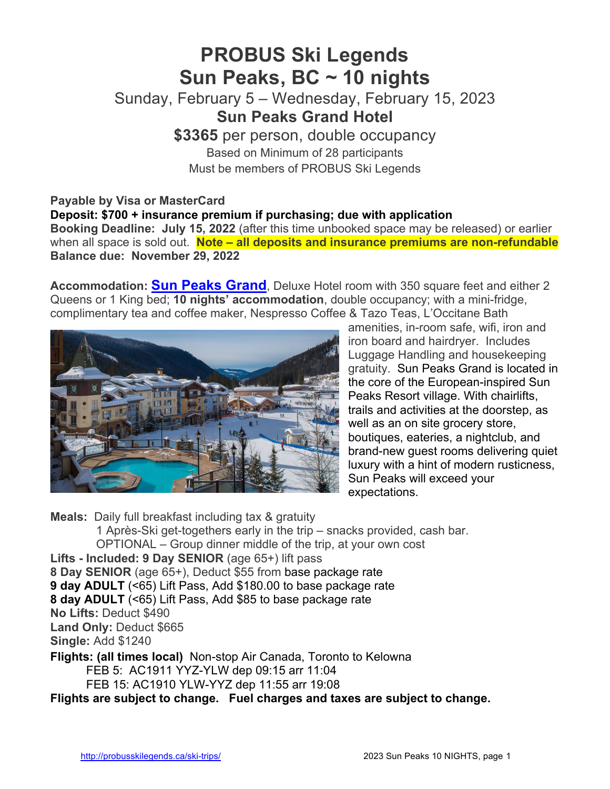# **PROBUS Ski Legends Sun Peaks, BC ~ 10 nights**

Sunday, February 5 – Wednesday, February 15, 2023 **Sun Peaks Grand Hotel**

> **\$3365** per person, double occupancy Based on Minimum of 28 participants Must be members of PROBUS Ski Legends

## **Payable by Visa or MasterCard**

**Deposit: \$700 + insurance premium if purchasing; due with application Booking Deadline: July 15, 2022** (after this time unbooked space may be released) or earlier when all space is sold out. **Note – all deposits and insurance premiums are non-refundable Balance due: November 29, 2022**

**Accommodation: Sun Peaks Grand**, Deluxe Hotel room with 350 square feet and either 2 Queens or 1 King bed; **10 nights' accommodation**, double occupancy; with a mini-fridge, complimentary tea and coffee maker, Nespresso Coffee & Tazo Teas, L'Occitane Bath



amenities, in-room safe, wifi, iron and iron board and hairdryer. Includes Luggage Handling and housekeeping gratuity. Sun Peaks Grand is located in the core of the European-inspired Sun Peaks Resort village. With chairlifts, trails and activities at the doorstep, as well as an on site grocery store, boutiques, eateries, a nightclub, and brand-new guest rooms delivering quiet luxury with a hint of modern rusticness, Sun Peaks will exceed your expectations.

**Meals:** Daily full breakfast including tax & gratuity 1 Après-Ski get-togethers early in the trip – snacks provided, cash bar. OPTIONAL – Group dinner middle of the trip, at your own cost **Lifts - Included: 9 Day SENIOR** (age 65+) lift pass **8 Day SENIOR** (age 65+), Deduct \$55 from base package rate **9 day ADULT** (<65) Lift Pass, Add \$180.00 to base package rate **8 day ADULT** (<65) Lift Pass, Add \$85 to base package rate **No Lifts:** Deduct \$490 **Land Only:** Deduct \$665 **Single:** Add \$1240 **Flights: (all times local)** Non-stop Air Canada, Toronto to Kelowna

FEB 5: AC1911 YYZ-YLW dep 09:15 arr 11:04

FEB 15: AC1910 YLW-YYZ dep 11:55 arr 19:08

**Flights are subject to change. Fuel charges and taxes are subject to change.**